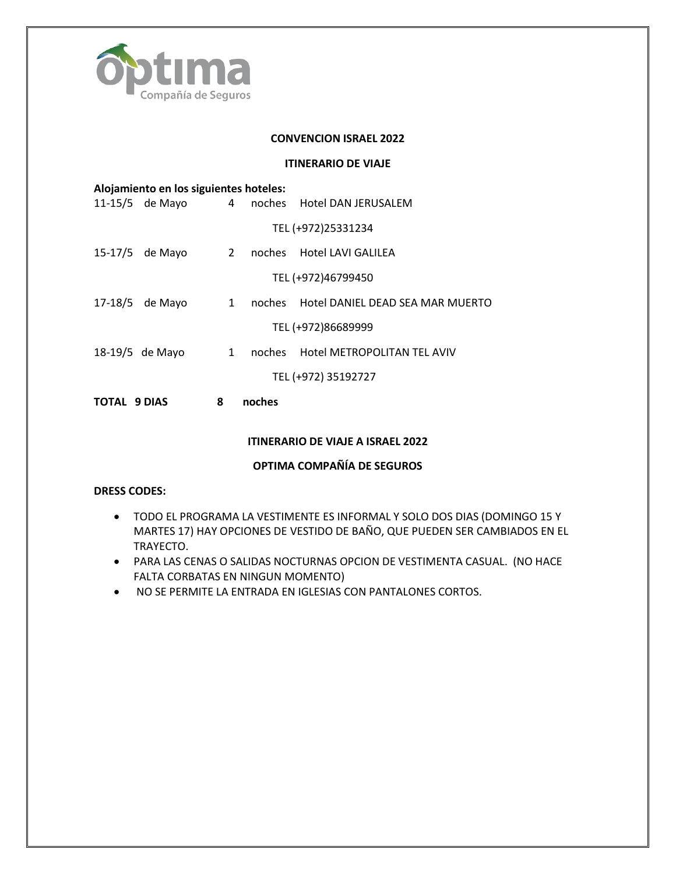

## **CONVENCION ISRAEL 2022**

## **ITINERARIO DE VIAJE**

|              | 11-15/5 de Mayo |             |        | 4 noches Hotel DAN JERUSALEM            |
|--------------|-----------------|-------------|--------|-----------------------------------------|
|              |                 |             |        | TEL (+972)25331234                      |
|              | 15-17/5 de Mayo | $2^{\circ}$ |        | noches Hotel LAVI GALILEA               |
|              |                 |             |        | TEL (+972)46799450                      |
|              | 17-18/5 de Mayo | $1 \quad$   |        | noches Hotel DANIEL DEAD SEA MAR MUERTO |
|              |                 |             |        | TEL (+972)86689999                      |
|              | 18-19/5 de Mayo | 1           |        | noches Hotel METROPOLITAN TEL AVIV      |
|              |                 |             |        | TEL (+972) 35192727                     |
| TOTAL 9 DIAS |                 | 8           | noches |                                         |
|              |                 |             |        |                                         |

# **ITINERARIO DE VIAJE A ISRAEL 2022**

# **OPTIMA COMPAÑÍA DE SEGUROS**

#### **DRESS CODES:**

- TODO EL PROGRAMA LA VESTIMENTE ES INFORMAL Y SOLO DOS DIAS (DOMINGO 15 Y MARTES 17) HAY OPCIONES DE VESTIDO DE BAÑO, QUE PUEDEN SER CAMBIADOS EN EL TRAYECTO.
- PARA LAS CENAS O SALIDAS NOCTURNAS OPCION DE VESTIMENTA CASUAL. (NO HACE FALTA CORBATAS EN NINGUN MOMENTO)
- NO SE PERMITE LA ENTRADA EN IGLESIAS CON PANTALONES CORTOS.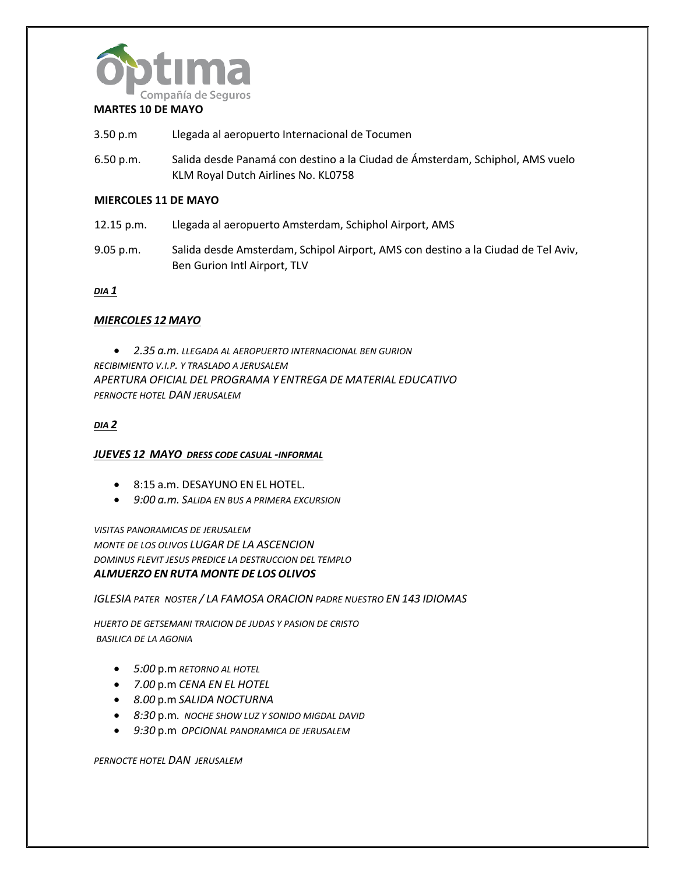

# **MARTES 10 DE MAYO**

- 3.50 p.m Llegada al aeropuerto Internacional de Tocumen
- 6.50 p.m. Salida desde Panamá con destino a la Ciudad de Ámsterdam, Schiphol, AMS vuelo KLM Royal Dutch Airlines No. KL0758

## **MIERCOLES 11 DE MAYO**

- 12.15 p.m. Llegada al aeropuerto Amsterdam, Schiphol Airport, AMS
- 9.05 p.m. Salida desde Amsterdam, Schipol Airport, AMS con destino a la Ciudad de Tel Aviv, Ben Gurion Intl Airport, TLV

#### *DIA 1*

## *MIERCOLES 12 MAYO*

• *2.35 a.m. LLEGADA AL AEROPUERTO INTERNACIONAL BEN GURION RECIBIMIENTO V.I.P. Y TRASLADO A JERUSALEM APERTURA OFICIAL DEL PROGRAMA Y ENTREGA DE MATERIAL EDUCATIVO PERNOCTE HOTEL DAN JERUSALEM*

## *DIA 2*

#### *JUEVES 12 MAYO DRESS CODE CASUAL -INFORMAL*

- 8:15 a.m. DESAYUNO EN EL HOTEL.
- *9:00 a.m. SALIDA EN BUS A PRIMERA EXCURSION*

*VISITAS PANORAMICAS DE JERUSALEM MONTE DE LOS OLIVOS LUGAR DE LA ASCENCION DOMINUS FLEVIT JESUS PREDICE LA DESTRUCCION DEL TEMPLO ALMUERZO EN RUTA MONTE DE LOS OLIVOS*

*IGLESIA PATER NOSTER / LA FAMOSA ORACION PADRE NUESTRO EN 143 IDIOMAS*

*HUERTO DE GETSEMANI TRAICION DE JUDAS Y PASION DE CRISTO BASILICA DE LA AGONIA*

- *5:00* p.m *RETORNO AL HOTEL*
- *7.00* p.m *CENA EN EL HOTEL*
- *8.00* p.m *SALIDA NOCTURNA*
- *8:30* p.m*. NOCHE SHOW LUZ Y SONIDO MIGDAL DAVID*
- *9:30* p.m *OPCIONAL PANORAMICA DE JERUSALEM*

*PERNOCTE HOTEL DAN JERUSALEM*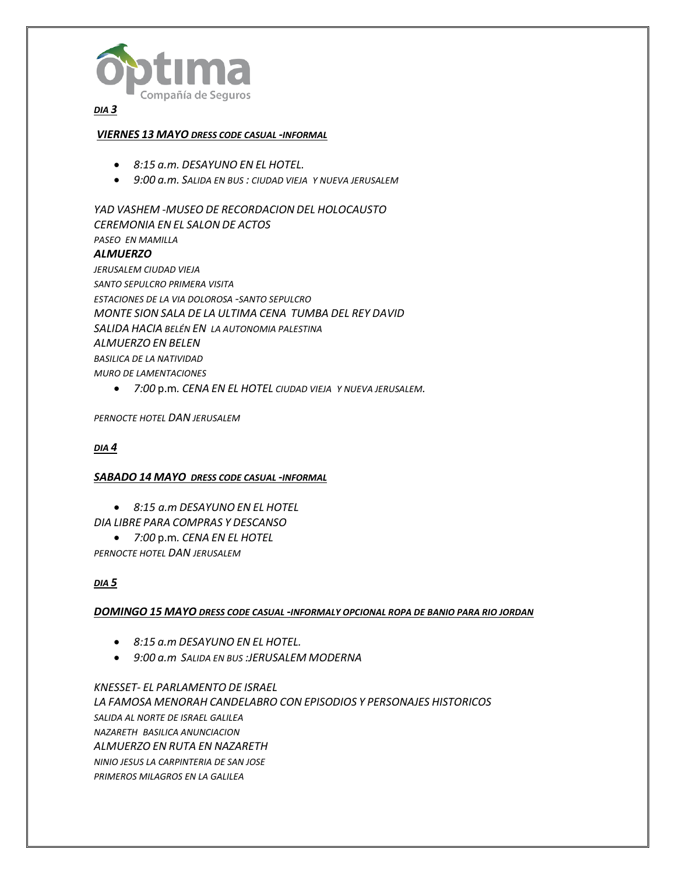

## *DIA 3*

## *VIERNES 13 MAYO DRESS CODE CASUAL -INFORMAL*

- *8:15 a.m. DESAYUNO EN EL HOTEL.*
- *9:00 a.m. SALIDA EN BUS : CIUDAD VIEJA Y NUEVA JERUSALEM*

*YAD VASHEM -MUSEO DE RECORDACION DEL HOLOCAUSTO CEREMONIA EN EL SALON DE ACTOS PASEO EN MAMILLA ALMUERZO JERUSALEM CIUDAD VIEJA SANTO SEPULCRO PRIMERA VISITA ESTACIONES DE LA VIA DOLOROSA -SANTO SEPULCRO MONTE SION SALA DE LA ULTIMA CENA TUMBA DEL REY DAVID SALIDA HACIA BELÉN EN LA AUTONOMIA PALESTINA ALMUERZO EN BELEN BASILICA DE LA NATIVIDAD MURO DE LAMENTACIONES*

• *7:00* p.m*. CENA EN EL HOTEL CIUDAD VIEJA Y NUEVA JERUSALEM.*

*PERNOCTE HOTEL DAN JERUSALEM*

#### *DIA 4*

#### *SABADO 14 MAYO DRESS CODE CASUAL -INFORMAL*

- *8:15 a.m DESAYUNO EN EL HOTEL DIA LIBRE PARA COMPRAS Y DESCANSO*
	- *7:00* p.m*. CENA EN EL HOTEL*

*PERNOCTE HOTEL DAN JERUSALEM*

# *DIA 5*

*DOMINGO 15 MAYO DRESS CODE CASUAL -INFORMALY OPCIONAL ROPA DE BANIO PARA RIO JORDAN* 

- *8:15 a.m DESAYUNO EN EL HOTEL.*
- *9:00 a.m SALIDA EN BUS :JERUSALEM MODERNA*

*KNESSET- EL PARLAMENTO DE ISRAEL LA FAMOSA MENORAH CANDELABRO CON EPISODIOS Y PERSONAJES HISTORICOS SALIDA AL NORTE DE ISRAEL GALILEA NAZARETH BASILICA ANUNCIACION ALMUERZO EN RUTA EN NAZARETH NINIO JESUS LA CARPINTERIA DE SAN JOSE PRIMEROS MILAGROS EN LA GALILEA*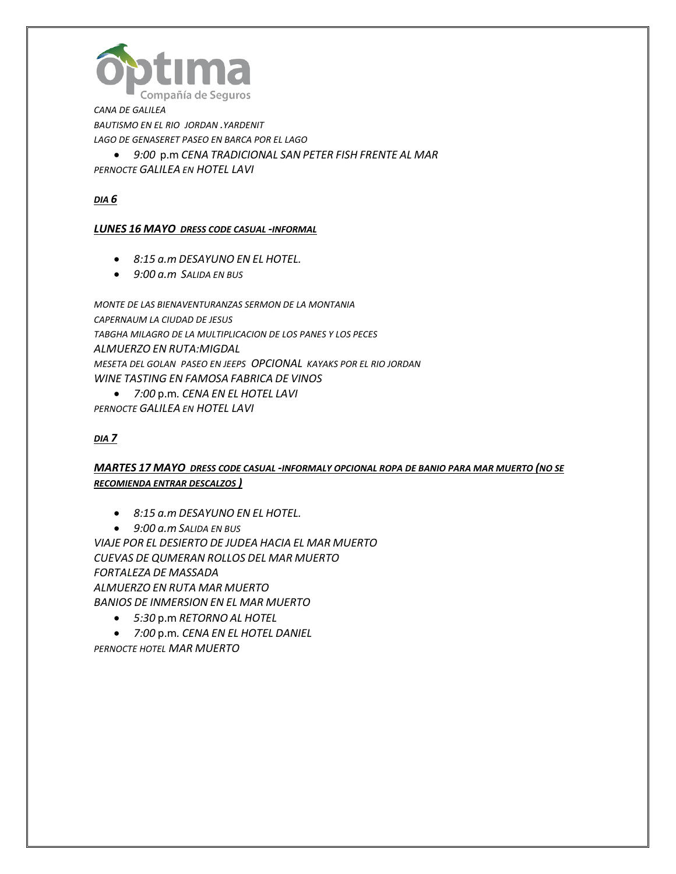

*CANA DE GALILEA BAUTISMO EN EL RIO JORDAN .YARDENIT LAGO DE GENASERET PASEO EN BARCA POR EL LAGO* 

• *9:00* p.m *CENA TRADICIONAL SAN PETER FISH FRENTE AL MAR PERNOCTE GALILEA EN HOTEL LAVI* 

*DIA 6*

# *LUNES 16 MAYO DRESS CODE CASUAL -INFORMAL*

- *8:15 a.m DESAYUNO EN EL HOTEL.*
- *9:00 a.m SALIDA EN BUS*

*MONTE DE LAS BIENAVENTURANZAS SERMON DE LA MONTANIA CAPERNAUM LA CIUDAD DE JESUS TABGHA MILAGRO DE LA MULTIPLICACION DE LOS PANES Y LOS PECES ALMUERZO EN RUTA:MIGDAL MESETA DEL GOLAN PASEO EN JEEPS OPCIONAL KAYAKS POR EL RIO JORDAN WINE TASTING EN FAMOSA FABRICA DE VINOS*

• *7:00* p.m*. CENA EN EL HOTEL LAVI PERNOCTE GALILEA EN HOTEL LAVI*

# *DIA 7*

# *MARTES 17 MAYO DRESS CODE CASUAL -INFORMALY OPCIONAL ROPA DE BANIO PARA MAR MUERTO (NO SE RECOMIENDA ENTRAR DESCALZOS )*

- *8:15 a.m DESAYUNO EN EL HOTEL.*
- *9:00 a.m SALIDA EN BUS*

*VIAJE POR EL DESIERTO DE JUDEA HACIA EL MAR MUERTO CUEVAS DE QUMERAN ROLLOS DEL MAR MUERTO FORTALEZA DE MASSADA ALMUERZO EN RUTA MAR MUERTO BANIOS DE INMERSION EN EL MAR MUERTO*

- *5:30* p.m *RETORNO AL HOTEL*
- *7:00* p.m*. CENA EN EL HOTEL DANIEL*

*PERNOCTE HOTEL MAR MUERTO*